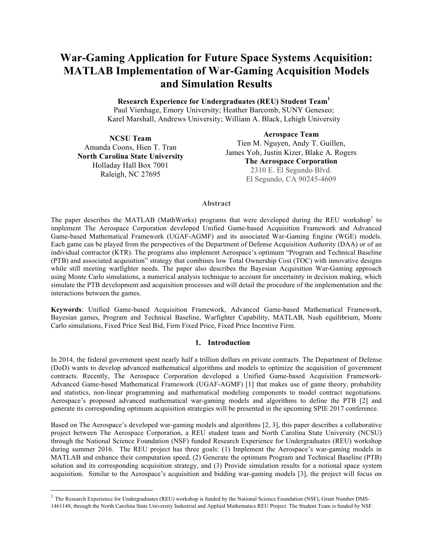# **War-Gaming Application for Future Space Systems Acquisition: MATLAB Implementation of War-Gaming Acquisition Models and Simulation Results**

**Research Experience for Undergraduates (REU) Student Team1** Paul Vienhage, Emory University; Heather Barcomb, SUNY Geneseo; Karel Marshall, Andrews University; William A. Black, Lehigh University

**NCSU Team** Amanda Coons, Hien T. Tran **North Carolina State University** Holladay Hall Box 7001 Raleigh, NC 27695

 

**Aerospace Team** Tien M. Nguyen, Andy T. Guillen, James Yoh, Justin Kizer, Blake A. Rogers **The Aerospace Corporation**  2310 E. El Segundo Blvd. El Segundo, CA 90245-4609

#### **Abstract**

The paper describes the MATLAB (MathWorks) programs that were developed during the REU workshop<sup>1</sup> to implement The Aerospace Corporation developed Unified Game-based Acquisition Framework and Advanced Game-based Mathematical Framework (UGAF-AGMF) and its associated War-Gaming Engine (WGE) models. Each game can be played from the perspectives of the Department of Defense Acquisition Authority (DAA) or of an individual contractor (KTR). The programs also implement Aerospace's optimum "Program and Technical Baseline (PTB) and associated acquisition" strategy that combines low Total Ownership Cost (TOC) with innovative designs while still meeting warfighter needs. The paper also describes the Bayesian Acquisition War-Gaming approach using Monte Carlo simulations, a numerical analysis technique to account for uncertainty in decision making, which simulate the PTB development and acquisition processes and will detail the procedure of the implementation and the interactions between the games.

**Keywords**: Unified Game-based Acquisition Framework, Advanced Game-based Mathematical Framework, Bayesian games, Program and Technical Baseline, Warfighter Capability, MATLAB, Nash equilibrium, Monte Carlo simulations, Fixed Price Seal Bid, Firm Fixed Price, Fixed Price Incentive Firm.

#### **1. Introduction**

In 2014, the federal government spent nearly half a trillion dollars on private contracts. The Department of Defense (DoD) wants to develop advanced mathematical algorithms and models to optimize the acquisition of government contracts. Recently, The Aerospace Corporation developed a Unified Game-based Acquisition Framework-Advanced Game-based Mathematical Framework (UGAF-AGMF) [1] that makes use of game theory, probability and statistics, non-linear programming and mathematical modeling components to model contract negotiations. Aerospace's proposed advanced mathematical war-gaming models and algorithms to define the PTB [2] and generate its corresponding optimum acquisition strategies will be presented in the upcoming SPIE 2017 conference.

Based on The Aerospace's developed war-gaming models and algorithms [2, 3], this paper describes a collaborative project between The Aerospace Corporation, a REU student team and North Carolina State University (NCSU) through the National Science Foundation (NSF) funded Research Experience for Undergraduates (REU) workshop during summer 2016. The REU project has three goals: (1) Implement the Aerospace's war-gaming models in MATLAB and enhance their computation speed, (2) Generate the optimum Program and Technical Baseline (PTB) solution and its corresponding acquisition strategy, and (3) Provide simulation results for a notional space system acquisition. Similar to the Aerospace's acquisition and bidding war-gaming models [3], the project will focus on

<sup>&</sup>lt;sup>1</sup> The Research Experience for Undergraduates (REU) workshop is funded by the National Science Foundation (NSF), Grant Number DMS-1461148, through the North Carolina State University Industrial and Applied Mathematics REU Project. The Student Team is funded by NSF.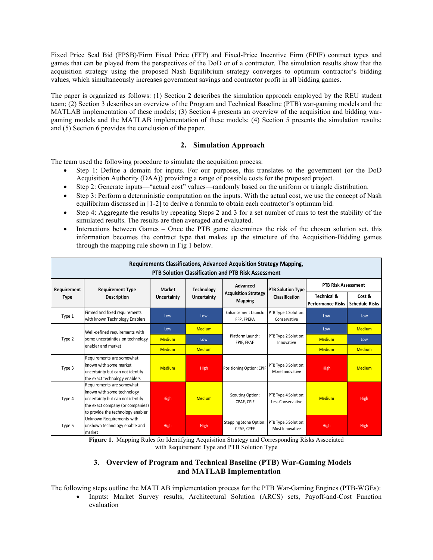Fixed Price Seal Bid (FPSB)/Firm Fixed Price (FFP) and Fixed-Price Incentive Firm (FPIF) contract types and games that can be played from the perspectives of the DoD or of a contractor. The simulation results show that the acquisition strategy using the proposed Nash Equilibrium strategy converges to optimum contractor's bidding values, which simultaneously increases government savings and contractor profit in all bidding games.

The paper is organized as follows: (1) Section 2 describes the simulation approach employed by the REU student team; (2) Section 3 describes an overview of the Program and Technical Baseline (PTB) war-gaming models and the MATLAB implementation of these models; (3) Section 4 presents an overview of the acquisition and bidding wargaming models and the MATLAB implementation of these models; (4) Section 5 presents the simulation results; and (5) Section 6 provides the conclusion of the paper.

## **2. Simulation Approach**

The team used the following procedure to simulate the acquisition process:

- Step 1: Define a domain for inputs. For our purposes, this translates to the government (or the DoD Acquisition Authority (DAA)) providing a range of possible costs for the proposed project.
- Step 2: Generate inputs—"actual cost" values—randomly based on the uniform or triangle distribution.
- Step 3: Perform a deterministic computation on the inputs. With the actual cost, we use the concept of Nash equilibrium discussed in [1-2] to derive a formula to obtain each contractor's optimum bid.
- Step 4: Aggregate the results by repeating Steps 2 and 3 for a set number of runs to test the stability of the simulated results. The results are then averaged and evaluated.
- Interactions between Games Once the PTB game determines the risk of the chosen solution set, this information becomes the contract type that makes up the structure of the Acquisition-Bidding games through the mapping rule shown in Fig 1 below.

| Requirements Classifications, Advanced Acquisition Strategy Mapping,<br><b>PTB Solution Classification and PTB Risk Assessment</b> |                                                                                                                                                                      |                    |                    |                                               |                                           |                                                    |                                 |  |  |
|------------------------------------------------------------------------------------------------------------------------------------|----------------------------------------------------------------------------------------------------------------------------------------------------------------------|--------------------|--------------------|-----------------------------------------------|-------------------------------------------|----------------------------------------------------|---------------------------------|--|--|
| Requirement<br><b>Type</b>                                                                                                         | <b>Requirement Type</b>                                                                                                                                              | <b>Market</b>      | <b>Technology</b>  | Advanced                                      | <b>PTB Solution Type</b>                  | <b>PTB Risk Assessment</b>                         |                                 |  |  |
|                                                                                                                                    | <b>Description</b>                                                                                                                                                   | <b>Uncertainty</b> | <b>Uncertainty</b> | <b>Acquisition Strategy</b><br><b>Mapping</b> | <b>Classification</b>                     | <b>Technical &amp;</b><br><b>Performance Risks</b> | Cost &<br><b>Schedule Risks</b> |  |  |
| Type 1                                                                                                                             | Firmed and fixed requirements<br>with known Technology Enablers                                                                                                      | Low                | Low                | Enhancement Launch:<br>FFP, FPEPA             | PTB Type 1 Solution:<br>Conservative      | Low                                                | Low                             |  |  |
| Type 2                                                                                                                             | Well-defined requirements with<br>some uncertainties on technology<br>enabler and market                                                                             | Low                | <b>Medium</b>      |                                               |                                           | Low                                                | <b>Medium</b>                   |  |  |
|                                                                                                                                    |                                                                                                                                                                      | <b>Medium</b>      | Low                | Platform Launch:<br>FPIF, FPAF                | PTB Type 2 Solution:<br>Innovative        | <b>Medium</b>                                      | Low                             |  |  |
|                                                                                                                                    |                                                                                                                                                                      | <b>Medium</b>      | <b>Medium</b>      |                                               |                                           | <b>Medium</b>                                      | <b>Medium</b>                   |  |  |
| Type 3                                                                                                                             | Requirements are somewhat<br>known with some market<br>uncertainty but can not identify<br>the exact technology enablers                                             | Medium             | High               | Positioning Option: CPIF                      | PTB Type 3 Solution:<br>More Innovative   | High                                               | <b>Medium</b>                   |  |  |
| Type 4                                                                                                                             | Requirements are somewhat<br>known with some technology<br>uncertainty but can not identify<br>the exact company (or companies)<br>to provide the technology enabler | High               | <b>Medium</b>      | Scouting Option:<br>CPAF, CPIF                | PTB Type 4 Solution:<br>Less Conservative | <b>Medium</b>                                      | High                            |  |  |
| Type 5                                                                                                                             | Unknown Requirements with<br>unkhown technology enable and<br>market                                                                                                 | High               | High               | <b>Stepping Stone Option:</b><br>CPAF, CPFF   | PTB Type 5 Solution:<br>Most Innovative   | High                                               | High                            |  |  |

**Figure 1**. Mapping Rules for Identifying Acquisition Strategy and Corresponding Risks Associated with Requirement Type and PTB Solution Type

# **3. Overview of Program and Technical Baseline (PTB) War-Gaming Models and MATLAB Implementation**

The following steps outline the MATLAB implementation process for the PTB War-Gaming Engines (PTB-WGEs):

• Inputs: Market Survey results, Architectural Solution (ARCS) sets, Payoff-and-Cost Function evaluation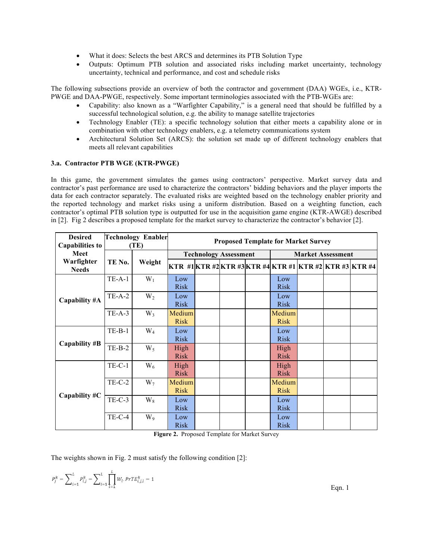- What it does: Selects the best ARCS and determines its PTB Solution Type
- Outputs: Optimum PTB solution and associated risks including market uncertainty, technology uncertainty, technical and performance, and cost and schedule risks

The following subsections provide an overview of both the contractor and government (DAA) WGEs, i.e., KTR-PWGE and DAA-PWGE, respectively. Some important terminologies associated with the PTB-WGEs are:

- Capability: also known as a "Warfighter Capability," is a general need that should be fulfilled by a successful technological solution, e.g. the ability to manage satellite trajectories
- Technology Enabler (TE): a specific technology solution that either meets a capability alone or in combination with other technology enablers, e.g. a telemetry communications system
- Architectural Solution Set (ARCS): the solution set made up of different technology enablers that meets all relevant capabilities

#### **3.a. Contractor PTB WGE (KTR-PWGE)**

In this game, the government simulates the games using contractors' perspective. Market survey data and contractor's past performance are used to characterize the contractors' bidding behaviors and the player imports the data for each contractor separately. The evaluated risks are weighted based on the technology enabler priority and the reported technology and market risks using a uniform distribution. Based on a weighting function, each contractor's optimal PTB solution type is outputted for use in the acquisition game engine (KTR-AWGE) described in [2]. Fig 2 describes a proposed template for the market survey to characterize the contractor's behavior [2].

| <b>Desired</b><br><b>Capabilities to</b> | <b>Technology Enabler</b><br>(TE) |        | <b>Proposed Template for Market Survey</b> |  |  |  |                                                             |  |  |  |  |
|------------------------------------------|-----------------------------------|--------|--------------------------------------------|--|--|--|-------------------------------------------------------------|--|--|--|--|
| Meet                                     |                                   |        | <b>Technology Assessment</b>               |  |  |  | <b>Market Assessment</b>                                    |  |  |  |  |
| Warfighter<br><b>Needs</b>               | TE No.                            | Weight |                                            |  |  |  | KTR #1 KTR #2 KTR #3 KTR #4  KTR #1  KTR #2  KTR #3  KTR #4 |  |  |  |  |
|                                          | $TE-A-1$                          | $W_1$  | Low<br><b>Risk</b>                         |  |  |  | Low<br><b>Risk</b>                                          |  |  |  |  |
| Capability #A                            | $TE-A-2$                          | $W_2$  | Low<br><b>Risk</b>                         |  |  |  | Low<br><b>Risk</b>                                          |  |  |  |  |
|                                          | $TE-A-3$                          | $W_3$  | Medium<br><b>Risk</b>                      |  |  |  | Medium<br><b>Risk</b>                                       |  |  |  |  |
|                                          | $TE-B-1$                          | $W_4$  | Low<br><b>Risk</b>                         |  |  |  | Low<br><b>Risk</b>                                          |  |  |  |  |
| Capability #B                            | $TE-B-2$                          | $W_5$  | High<br><b>Risk</b>                        |  |  |  | High<br><b>Risk</b>                                         |  |  |  |  |
|                                          | $TE-C-1$                          | $W_6$  | High<br><b>Risk</b>                        |  |  |  | High<br><b>Risk</b>                                         |  |  |  |  |
|                                          | $TE-C-2$                          | $W_7$  | Medium<br><b>Risk</b>                      |  |  |  | Medium<br><b>Risk</b>                                       |  |  |  |  |
| Capability #C                            | $TE-C-3$                          | $W_8$  | Low<br><b>Risk</b>                         |  |  |  | Low<br><b>Risk</b>                                          |  |  |  |  |
|                                          | $TE-C-4$                          | $W_9$  | Low<br><b>Risk</b>                         |  |  |  | Low<br><b>Risk</b>                                          |  |  |  |  |

**Figure 2.** Proposed Template for Market Survey

The weights shown in Fig. 2 must satisfy the following condition [2]:

$$
P_j^k = \sum\nolimits_{i = 1}^L {{P_{i,j}^k}} = \sum\nolimits_{i = 1}^L {\prod_{l = 1}^L {{W_l}.\textit{PrTE}_{i,j,l}^k}} = 1
$$

Eqn. 1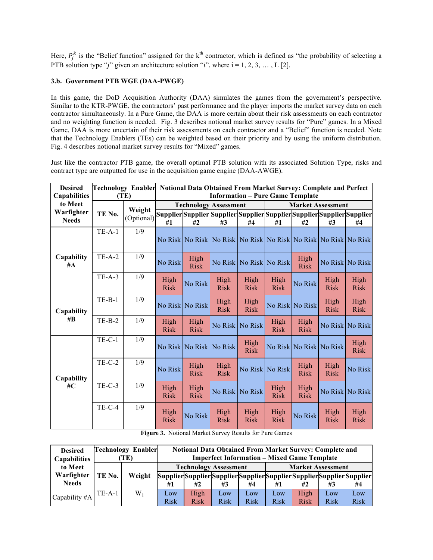Here,  $P_j^k$  is the "Belief function" assigned for the k<sup>th</sup> contractor, which is defined as "the probability of selecting a PTB solution type "j" given an architecture solution "i", where  $i = 1, 2, 3, \ldots, L$  [2].

## **3.b. Government PTB WGE (DAA-PWGE)**

In this game, the DoD Acquisition Authority (DAA) simulates the games from the government's perspective. Similar to the KTR-PWGE, the contractors' past performance and the player imports the market survey data on each contractor simultaneously. In a Pure Game, the DAA is more certain about their risk assessments on each contractor and no weighting function is needed. Fig. 3 describes notional market survey results for "Pure" games. In a Mixed Game, DAA is more uncertain of their risk assessments on each contractor and a "Belief" function is needed. Note that the Technology Enablers (TEs) can be weighted based on their priority and by using the uniform distribution. Fig. 4 describes notional market survey results for "Mixed" games.

Just like the contractor PTB game, the overall optimal PTB solution with its associated Solution Type, risks and contract type are outputted for use in the acquisition game engine (DAA-AWGE).

| <b>Desired</b><br><b>Capabilities</b> | (TE)     |                      | Technology Enabler Notional Data Obtained From Market Survey: Complete and Perfect<br><b>Information - Pure Game Template</b> |                     |                                                                               |                     |                          |                     |                     |                     |  |
|---------------------------------------|----------|----------------------|-------------------------------------------------------------------------------------------------------------------------------|---------------------|-------------------------------------------------------------------------------|---------------------|--------------------------|---------------------|---------------------|---------------------|--|
| to Meet                               | TE No.   | Weight<br>(Optional) |                                                                                                                               |                     | <b>Technology Assessment</b>                                                  |                     | <b>Market Assessment</b> |                     |                     |                     |  |
| Warfighter<br><b>Needs</b>            |          |                      |                                                                                                                               |                     | Supplier Supplier Supplier Supplier Supplier Supplier Supplier Supplier       |                     |                          |                     |                     |                     |  |
|                                       |          |                      | #1                                                                                                                            | #2                  | #3                                                                            | #4                  | #1                       | #2                  | #3                  | #4                  |  |
|                                       | $TE-A-1$ | 1/9                  |                                                                                                                               |                     |                                                                               |                     |                          |                     |                     |                     |  |
|                                       |          |                      |                                                                                                                               |                     | No Risk   No Risk   No Risk   No Risk   No Risk   No Risk   No Risk   No Risk |                     |                          |                     |                     |                     |  |
| Capability<br>#A                      | $TE-A-2$ | 1/9                  | No Risk                                                                                                                       | High<br><b>Risk</b> | No Risk                                                                       |                     | No Risk No Risk          | High<br><b>Risk</b> | No Risk No Risk     |                     |  |
|                                       | $TE-A-3$ | 1/9                  | High<br><b>Risk</b>                                                                                                           | No Risk             | High<br><b>Risk</b>                                                           | High<br><b>Risk</b> | High<br><b>Risk</b>      | No Risk             | High<br><b>Risk</b> | High<br><b>Risk</b> |  |
| Capability<br>$\#B$                   | $TE-B-1$ | 1/9                  | No Risk                                                                                                                       | No Risk             | High<br><b>Risk</b>                                                           | High<br><b>Risk</b> |                          | No Risk No Risk     | High<br><b>Risk</b> | High<br><b>Risk</b> |  |
|                                       | $TE-B-2$ | 1/9                  | High<br><b>Risk</b>                                                                                                           | High<br><b>Risk</b> | No Risk                                                                       | No Risk             | High<br><b>Risk</b>      | High<br><b>Risk</b> | No Risk             | No Risk             |  |
| Capability<br>#C                      | $TE-C-1$ | 1/9                  | No Risk                                                                                                                       | No Risk             | No Risk                                                                       | High<br><b>Risk</b> | No Risk                  |                     | No Risk No Risk     | High<br><b>Risk</b> |  |
|                                       | $TE-C-2$ | 1/9                  | No Risk                                                                                                                       | High<br><b>Risk</b> | High<br><b>Risk</b>                                                           |                     | No Risk No Risk          | High<br><b>Risk</b> | High<br><b>Risk</b> | No Risk             |  |
|                                       | $TE-C-3$ | 1/9                  | High<br><b>Risk</b>                                                                                                           | High<br><b>Risk</b> | No Risk                                                                       | No Risk             | High<br><b>Risk</b>      | High<br><b>Risk</b> |                     | No Risk No Risk     |  |
|                                       | $TE-C-4$ | 1/9                  | High<br><b>Risk</b>                                                                                                           | No Risk             | High<br><b>Risk</b>                                                           | High<br><b>Risk</b> | High<br><b>Risk</b>      | No Risk             | High<br><b>Risk</b> | High<br><b>Risk</b> |  |

**Figure 3.** Notional Market Survey Results for Pure Games

| <b>Desired</b><br><b>Capabilities</b> | <b>Technology Enabler</b><br>TE) |        | <b>Notional Data Obtained From Market Survey: Complete and</b><br><b>Imperfect Information - Mixed Game Template</b> |                                                                         |             |                 |                          |             |             |             |  |
|---------------------------------------|----------------------------------|--------|----------------------------------------------------------------------------------------------------------------------|-------------------------------------------------------------------------|-------------|-----------------|--------------------------|-------------|-------------|-------------|--|
| to Meet                               |                                  |        | <b>Technology Assessment</b>                                                                                         |                                                                         |             |                 | <b>Market Assessment</b> |             |             |             |  |
| Warfighter                            | TE No.                           | Weight |                                                                                                                      | Supplier Supplier Supplier Supplier Supplier Supplier Supplier Supplier |             |                 |                          |             |             |             |  |
| <b>Needs</b>                          |                                  |        | #1                                                                                                                   | #2                                                                      | #3          | #4              | #1                       | #2          | #3          | #4          |  |
| Capability #A                         | $TE-A-1$                         | $W_1$  | Low                                                                                                                  | High                                                                    | Low         | L <sub>ow</sub> | Low                      | High        | Low         | Low         |  |
|                                       |                                  |        | <b>Risk</b>                                                                                                          | <b>Risk</b>                                                             | <b>Risk</b> | <b>Risk</b>     | <b>Risk</b>              | <b>Risk</b> | <b>Risk</b> | <b>Risk</b> |  |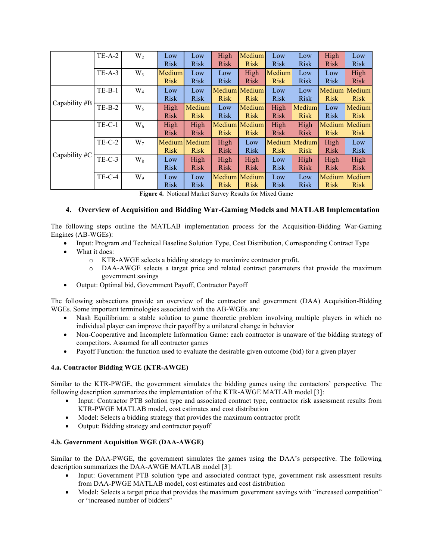|               | $TE-A-2$      | $W_2$          | Low         | Low           | High        | Medium        | Low         | Low           | High        | Low           |
|---------------|---------------|----------------|-------------|---------------|-------------|---------------|-------------|---------------|-------------|---------------|
|               |               |                | <b>Risk</b> | <b>Risk</b>   | <b>Risk</b> | <b>Risk</b>   | <b>Risk</b> | <b>Risk</b>   | <b>Risk</b> | <b>Risk</b>   |
|               | $TE-A-3$      | $W_3$          | Medium      | Low           | Low         | High          | Medium      | Low           | Low         | High          |
|               |               |                | <b>Risk</b> | <b>Risk</b>   | <b>Risk</b> | <b>Risk</b>   | <b>Risk</b> | <b>Risk</b>   | <b>Risk</b> | <b>Risk</b>   |
|               | $TE-B-1$      | $\rm W_4$      | Low         | Low           |             | Medium Medium | Low         | Low           |             | Medium Medium |
|               |               |                | <b>Risk</b> | <b>Risk</b>   | <b>Risk</b> | <b>Risk</b>   | <b>Risk</b> | <b>Risk</b>   | <b>Risk</b> | <b>Risk</b>   |
| Capability #B | $TE-B-2$      | $W_5$          | High        | Medium        | Low         | Medium        | High        | Medium        | Low         | Medium        |
|               |               |                | <b>Risk</b> | <b>Risk</b>   | <b>Risk</b> | <b>Risk</b>   | <b>Risk</b> | <b>Risk</b>   | <b>Risk</b> | <b>Risk</b>   |
|               | $TE-C-1$      | $W_6$          | High        | High          |             | Medium Medium | High        | High          |             | Medium Medium |
|               |               |                | <b>Risk</b> | <b>Risk</b>   | <b>Risk</b> | <b>Risk</b>   | <b>Risk</b> | <b>Risk</b>   | <b>Risk</b> | <b>Risk</b>   |
|               | <b>TE-C-2</b> | $W_7$          |             | Medium Medium | High        | Low           |             | Medium Medium | High        | Low           |
| Capability #C |               |                | <b>Risk</b> | <b>Risk</b>   | <b>Risk</b> | <b>Risk</b>   | <b>Risk</b> | <b>Risk</b>   | <b>Risk</b> | <b>Risk</b>   |
|               | $TE-C-3$      | $W_8$          | Low         | High          | High        | High          | Low         | High          | High        | High          |
|               |               |                | <b>Risk</b> | <b>Risk</b>   | <b>Risk</b> | <b>Risk</b>   | <b>Risk</b> | <b>Risk</b>   | <b>Risk</b> | <b>Risk</b>   |
|               | $TE-C-4$      | W <sub>9</sub> | Low         | Low           |             | Medium Medium | Low         | Low           |             | Medium Medium |
|               |               |                | <b>Risk</b> | <b>Risk</b>   | <b>Risk</b> | <b>Risk</b>   | <b>Risk</b> | <b>Risk</b>   | <b>Risk</b> | <b>Risk</b>   |

**Figure 4.** Notional Market Survey Results for Mixed Game

# **4. Overview of Acquisition and Bidding War-Gaming Models and MATLAB Implementation**

The following steps outline the MATLAB implementation process for the Acquisition-Bidding War-Gaming Engines (AB-WGEs):

- Input: Program and Technical Baseline Solution Type, Cost Distribution, Corresponding Contract Type
- What it does:
	- o KTR-AWGE selects a bidding strategy to maximize contractor profit.
	- o DAA-AWGE selects a target price and related contract parameters that provide the maximum government savings
- Output: Optimal bid, Government Payoff, Contractor Payoff

The following subsections provide an overview of the contractor and government (DAA) Acquisition-Bidding WGEs. Some important terminologies associated with the AB-WGEs are:

- Nash Equilibrium: a stable solution to game theoretic problem involving multiple players in which no individual player can improve their payoff by a unilateral change in behavior
- Non-Cooperative and Incomplete Information Game: each contractor is unaware of the bidding strategy of competitors. Assumed for all contractor games
- Payoff Function: the function used to evaluate the desirable given outcome (bid) for a given player

## **4.a. Contractor Bidding WGE (KTR-AWGE)**

Similar to the KTR-PWGE, the government simulates the bidding games using the contactors' perspective. The following description summarizes the implementation of the KTR-AWGE MATLAB model [3]:

- Input: Contractor PTB solution type and associated contract type, contractor risk assessment results from KTR-PWGE MATLAB model, cost estimates and cost distribution
- Model: Selects a bidding strategy that provides the maximum contractor profit
- Output: Bidding strategy and contractor payoff

## **4.b. Government Acquisition WGE (DAA-AWGE)**

Similar to the DAA-PWGE, the government simulates the games using the DAA's perspective. The following description summarizes the DAA-AWGE MATLAB model [3]:

- Input: Government PTB solution type and associated contract type, government risk assessment results from DAA-PWGE MATLAB model, cost estimates and cost distribution
- Model: Selects a target price that provides the maximum government savings with "increased competition" or "increased number of bidders"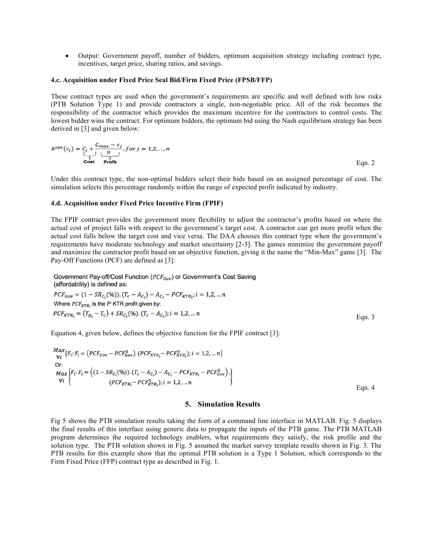• Output: Government payoff, number of bidders, optimum acquisition strategy including contract type, incentives, target price, sharing ratios, and savings.

#### **4.c. Acquisition under Fixed Price Seal Bid/Firm Fixed Price (FPSB/FFP)**

These contract types are used when the government's requirements are specific and well defined with low risks (PTB Solution Type 1) and provide contractors a single, non-negotiable price. All of the risk becomes the responsibility of the contractor which provides the maximum incentive for the contractors to control costs. The lowest bidder wins the contract. For optimum bidders, the optimum bid using the Nash equilibrium strategy has been derived in [3] and given below:

$$
b^{opt}(c_j) = \underbrace{c_j + \frac{C_{max} - c_j}{n}}_{\text{Cost}} \text{Profit}} \text{ for } j = 1, 2, \dots, n
$$
Eqn. 2

Under this contract type, the non-optimal bidders select their bids based on an assigned percentage of cost. The simulation selects this percentage randomly within the range of expected profit indicated by industry.

#### **4.d. Acquisition under Fixed Price Incentive Firm (FPIF)**

The FPIF contract provides the government more flexibility to adjust the contractor's profits based on where the actual cost of project falls with respect to the government's target cost. A contractor can get more profit when the actual cost falls below the target cost and vice versa. The DAA chooses this contract type when the government's requirements have moderate technology and market uncertainty [2-3]. The games minimize the government payoff and maximize the contractor profit based on an objective function, giving it the name the "Min-Max" game [3]. The Pay-Off Functions (PCF) are defined as [3]:

Government Pay-off/Cost Function (PCF<sub>Gov</sub>) or Government's Cost Saving (affordability) is defined as:

 $PCF_{Gov} = (1 - SR_{C_i}(\%))(T_c - A_{C_i}) - A_{C_i} - PCF_{KTR_i}; i = 1, 2, ... n$ Where  $PCF_{KTR_i}$  is the i<sup>th</sup> KTR profit given by:  $PCF_{KTR_i} = (T_{p_i} - T_c) + SR_{C_i}(\%)$ .  $(T_c - A_{C_i})$ ;  $i = 1, 2, ... n$ 

Equation 4, given below, defines the objective function for the FPIF contract [3]:

$$
\begin{array}{l}\n\text{Max } \{F_i : F_i = \left( PCF_{Gov} - PCF_{Gov}^0 \right) . \left( PCF_{KTR_i} - PCF_{KTR_i}^0 \right) ; i = 1, 2, \dots n \} \\
\text{Or:} \\
\text{Max } \{F_i : F_i = \left( (1 - SR_{C_i}(\%) ) . \left( T_c - A_{C_i} \right) - A_{C_i} - PCF_{KTR_i} - PCF_{Gov}^0 \right) . \right) \\
\text{Vi } \left\{ \begin{array}{c}\n\text{Cov}(F_{KTR_i} - PCF_{KTR_i}^0) ; i = 1, 2, \dots n \\
\text{Cov}(F_{KTR_i} - PCF_{KTR_i}^0) ; i = 1, 2, \dots n\n\end{array} \right\}\n\end{array}
$$

#### **5. Simulation Results**

Eqn. 3

Fig 5 shows the PTB simulation results taking the form of a command line interface in MATLAB. Fig. 5 displays the final results of this interface using generic data to propagate the inputs of the PTB game. The PTB MATLAB program determines the required technology enablers, what requirements they satisfy, the risk profile and the solution type. The PTB solution shown in Fig. 5 assumed the market survey template results shown in Fig. 3. The PTB results for this example show that the optimal PTB solution is a Type 1 Solution, which corresponds to the Firm Fixed Price (FFP) contract type as described in Fig. 1.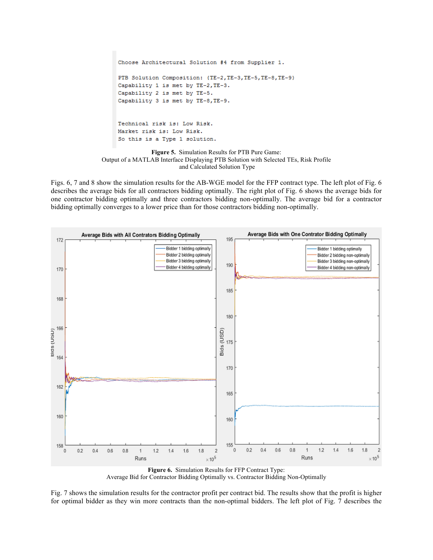```
Choose Architectural Solution #4 from Supplier 1.
PTB Solution Composition: {TE-2, TE-3, TE-5, TE-8, TE-9}
Capability 1 is met by TE-2, TE-3.
Capability 2 is met by TE-5.
Capability 3 is met by TE-8, TE-9.
Technical risk is: Low Risk.
Market risk is: Low Risk.
So this is a Type 1 solution.
          Figure 5. Simulation Results for PTB Pure Game:
```
Output of a MATLAB Interface Displaying PTB Solution with Selected TEs, Risk Profile and Calculated Solution Type

Figs. 6, 7 and 8 show the simulation results for the AB-WGE model for the FFP contract type. The left plot of Fig. 6 describes the average bids for all contractors bidding optimally. The right plot of Fig. 6 shows the average bids for one contractor bidding optimally and three contractors bidding non-optimally. The average bid for a contractor bidding optimally converges to a lower price than for those contractors bidding non-optimally.



**Figure 6.** Simulation Results for FFP Contract Type: Average Bid for Contractor Bidding Optimally vs. Contractor Bidding Non-Optimally

Fig. 7 shows the simulation results for the contractor profit per contract bid. The results show that the profit is higher for optimal bidder as they win more contracts than the non-optimal bidders. The left plot of Fig. 7 describes the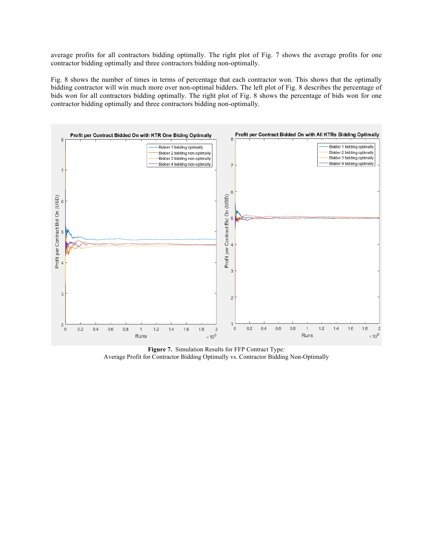average profits for all contractors bidding optimally. The right plot of Fig. 7 shows the average profits for one contractor bidding optimally and three contractors bidding non-optimally.

Fig. 8 shows the number of times in terms of percentage that each contractor won. This shows that the optimally bidding contractor will win much more over non-optimal bidders. The left plot of Fig. 8 describes the percentage of bids won for all contractors bidding optimally. The right plot of Fig. 8 shows the percentage of bids won for one contractor bidding optimally and three contractors bidding non-optimally.



**Figure 7.** Simulation Results for FFP Contract Type: Average Profit for Contractor Bidding Optimally vs. Contractor Bidding Non-Optimally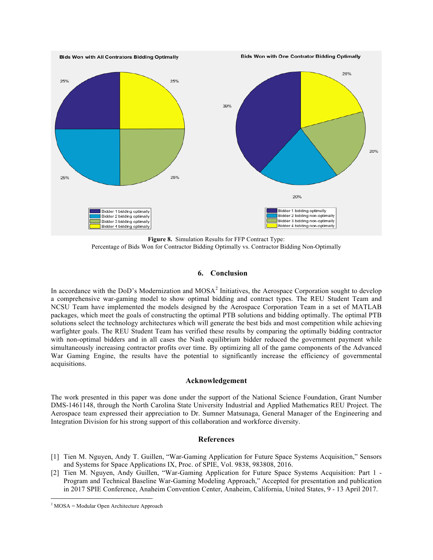

**Figure 8.** Simulation Results for FFP Contract Type: Percentage of Bids Won for Contractor Bidding Optimally vs. Contractor Bidding Non-Optimally

## **6. Conclusion**

In accordance with the DoD's Modernization and  $MOSA<sup>2</sup>$  Initiatives, the Aerospace Corporation sought to develop a comprehensive war-gaming model to show optimal bidding and contract types. The REU Student Team and NCSU Team have implemented the models designed by the Aerospace Corporation Team in a set of MATLAB packages, which meet the goals of constructing the optimal PTB solutions and bidding optimally. The optimal PTB solutions select the technology architectures which will generate the best bids and most competition while achieving warfighter goals. The REU Student Team has verified these results by comparing the optimally bidding contractor with non-optimal bidders and in all cases the Nash equilibrium bidder reduced the government payment while simultaneously increasing contractor profits over time. By optimizing all of the game components of the Advanced War Gaming Engine, the results have the potential to significantly increase the efficiency of governmental acquisitions.

#### **Acknowledgement**

The work presented in this paper was done under the support of the National Science Foundation, Grant Number DMS-1461148, through the North Carolina State University Industrial and Applied Mathematics REU Project. The Aerospace team expressed their appreciation to Dr. Sumner Matsunaga, General Manager of the Engineering and Integration Division for his strong support of this collaboration and workforce diversity.

## **References**

- [1] Tien M. Nguyen, Andy T. Guillen, "War-Gaming Application for Future Space Systems Acquisition," Sensors and Systems for Space Applications IX, Proc. of SPIE, Vol. 9838, 983808, 2016.
- [2] Tien M. Nguyen, Andy Guillen, "War-Gaming Application for Future Space Systems Acquisition: Part 1 Program and Technical Baseline War-Gaming Modeling Approach," Accepted for presentation and publication in 2017 SPIE Conference, Anaheim Convention Center, Anaheim, California, United States, 9 - 13 April 2017.

<sup>&</sup>lt;u> 1989 - Johann Barn, mars eta bat erroman erroman erroman erroman erroman erroman erroman erroman erroman err</u>  $2$  MOSA = Modular Open Architecture Approach